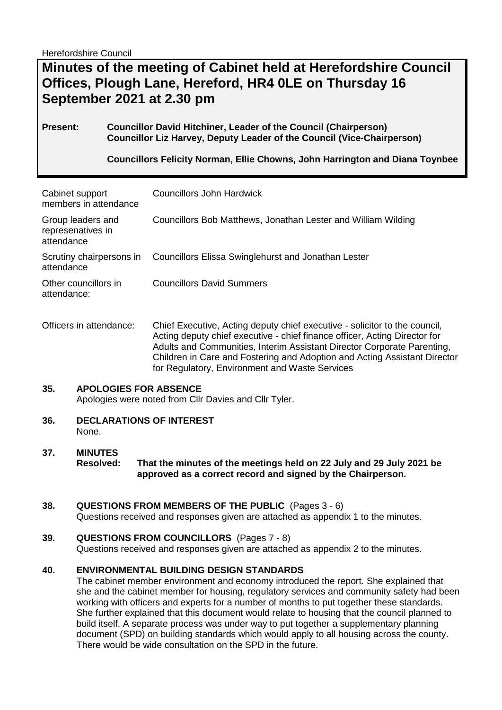Herefordshire Council

# **Minutes of the meeting of Cabinet held at Herefordshire Council Offices, Plough Lane, Hereford, HR4 0LE on Thursday 16 September 2021 at 2.30 pm**

## **Present: Councillor David Hitchiner, Leader of the Council (Chairperson) Councillor Liz Harvey, Deputy Leader of the Council (Vice-Chairperson)**

**Councillors Felicity Norman, Ellie Chowns, John Harrington and Diana Toynbee**

| Cabinet support<br>members in attendance             | Councillors John Hardwick                                                                                                                                |
|------------------------------------------------------|----------------------------------------------------------------------------------------------------------------------------------------------------------|
| Group leaders and<br>represenatives in<br>attendance | Councillors Bob Matthews, Jonathan Lester and William Wilding                                                                                            |
| Scrutiny chairpersons in<br>attendance               | <b>Councillors Elissa Swinglehurst and Jonathan Lester</b>                                                                                               |
| Other councillors in<br>attendance:                  | <b>Councillors David Summers</b>                                                                                                                         |
| Officers in attendance:                              | Chief Executive, Acting deputy chief executive - solicitor to the council,<br>Acting deputy chief executive - chief finance officer, Acting Director for |

### Acting deputy chief executive - chief finance officer, Acting Director for Adults and Communities, Interim Assistant Director Corporate Parenting, Children in Care and Fostering and Adoption and Acting Assistant Director for Regulatory, Environment and Waste Services

### **35. APOLOGIES FOR ABSENCE**

Apologies were noted from Cllr Davies and Cllr Tyler.

**36. DECLARATIONS OF INTEREST**  None.

### **37. MINUTES**

**Resolved: That the minutes of the meetings held on 22 July and 29 July 2021 be approved as a correct record and signed by the Chairperson.**

### **38. QUESTIONS FROM MEMBERS OF THE PUBLIC** (Pages 3 - 6)

Questions received and responses given are attached as appendix 1 to the minutes.

### **39. QUESTIONS FROM COUNCILLORS** (Pages 7 - 8)

Questions received and responses given are attached as appendix 2 to the minutes.

### **40. ENVIRONMENTAL BUILDING DESIGN STANDARDS**

The cabinet member environment and economy introduced the report. She explained that she and the cabinet member for housing, regulatory services and community safety had been working with officers and experts for a number of months to put together these standards. She further explained that this document would relate to housing that the council planned to build itself. A separate process was under way to put together a supplementary planning document (SPD) on building standards which would apply to all housing across the county. There would be wide consultation on the SPD in the future.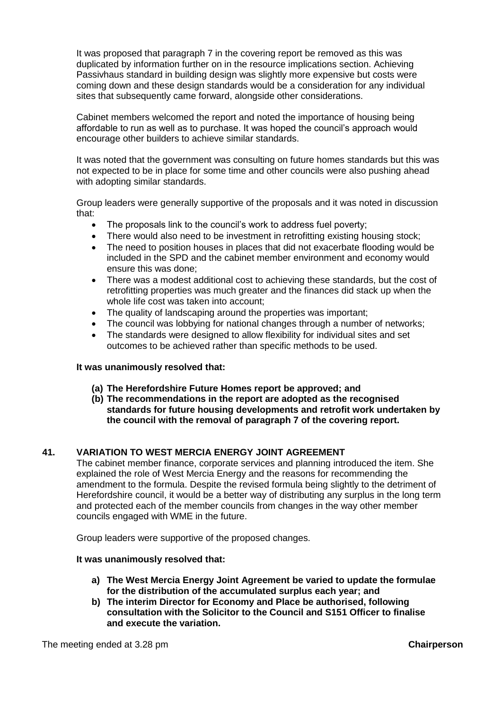It was proposed that paragraph 7 in the covering report be removed as this was duplicated by information further on in the resource implications section. Achieving Passivhaus standard in building design was slightly more expensive but costs were coming down and these design standards would be a consideration for any individual sites that subsequently came forward, alongside other considerations.

Cabinet members welcomed the report and noted the importance of housing being affordable to run as well as to purchase. It was hoped the council's approach would encourage other builders to achieve similar standards.

It was noted that the government was consulting on future homes standards but this was not expected to be in place for some time and other councils were also pushing ahead with adopting similar standards.

Group leaders were generally supportive of the proposals and it was noted in discussion that:

- The proposals link to the council's work to address fuel poverty;
- There would also need to be investment in retrofitting existing housing stock;
- The need to position houses in places that did not exacerbate flooding would be included in the SPD and the cabinet member environment and economy would ensure this was done;
- There was a modest additional cost to achieving these standards, but the cost of retrofitting properties was much greater and the finances did stack up when the whole life cost was taken into account;
- The quality of landscaping around the properties was important;
- The council was lobbying for national changes through a number of networks;
- The standards were designed to allow flexibility for individual sites and set outcomes to be achieved rather than specific methods to be used.

#### **It was unanimously resolved that:**

- **(a) The Herefordshire Future Homes report be approved; and**
- **(b) The recommendations in the report are adopted as the recognised standards for future housing developments and retrofit work undertaken by the council with the removal of paragraph 7 of the covering report.**

### **41. VARIATION TO WEST MERCIA ENERGY JOINT AGREEMENT**

The cabinet member finance, corporate services and planning introduced the item. She explained the role of West Mercia Energy and the reasons for recommending the amendment to the formula. Despite the revised formula being slightly to the detriment of Herefordshire council, it would be a better way of distributing any surplus in the long term and protected each of the member councils from changes in the way other member councils engaged with WME in the future.

Group leaders were supportive of the proposed changes.

#### **It was unanimously resolved that:**

- **a) The West Mercia Energy Joint Agreement be varied to update the formulae for the distribution of the accumulated surplus each year; and**
- **b) The interim Director for Economy and Place be authorised, following consultation with the Solicitor to the Council and S151 Officer to finalise and execute the variation.**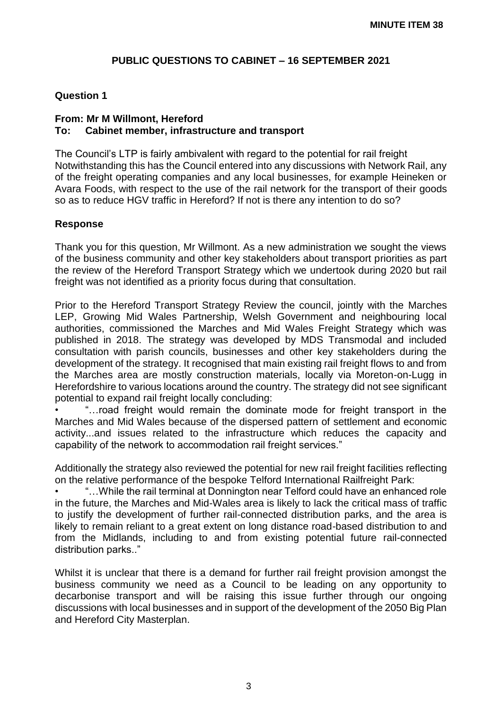# **PUBLIC QUESTIONS TO CABINET – 16 SEPTEMBER 2021**

## **Question 1**

## **From: Mr M Willmont, Hereford To: Cabinet member, infrastructure and transport**

The Council's LTP is fairly ambivalent with regard to the potential for rail freight Notwithstanding this has the Council entered into any discussions with Network Rail, any of the freight operating companies and any local businesses, for example Heineken or Avara Foods, with respect to the use of the rail network for the transport of their goods so as to reduce HGV traffic in Hereford? If not is there any intention to do so?

## **Response**

Thank you for this question, Mr Willmont. As a new administration we sought the views of the business community and other key stakeholders about transport priorities as part the review of the Hereford Transport Strategy which we undertook during 2020 but rail freight was not identified as a priority focus during that consultation.

Prior to the Hereford Transport Strategy Review the council, jointly with the Marches LEP, Growing Mid Wales Partnership, Welsh Government and neighbouring local authorities, commissioned the Marches and Mid Wales Freight Strategy which was published in 2018. The strategy was developed by MDS Transmodal and included consultation with parish councils, businesses and other key stakeholders during the development of the strategy. It recognised that main existing rail freight flows to and from the Marches area are mostly construction materials, locally via Moreton-on-Lugg in Herefordshire to various locations around the country. The strategy did not see significant potential to expand rail freight locally concluding:

• "…road freight would remain the dominate mode for freight transport in the Marches and Mid Wales because of the dispersed pattern of settlement and economic activity...and issues related to the infrastructure which reduces the capacity and capability of the network to accommodation rail freight services."

Additionally the strategy also reviewed the potential for new rail freight facilities reflecting on the relative performance of the bespoke Telford International Railfreight Park:

...While the rail terminal at Donnington near Telford could have an enhanced role in the future, the Marches and Mid-Wales area is likely to lack the critical mass of traffic to justify the development of further rail-connected distribution parks, and the area is likely to remain reliant to a great extent on long distance road-based distribution to and from the Midlands, including to and from existing potential future rail-connected distribution parks.."

Whilst it is unclear that there is a demand for further rail freight provision amongst the business community we need as a Council to be leading on any opportunity to decarbonise transport and will be raising this issue further through our ongoing discussions with local businesses and in support of the development of the 2050 Big Plan and Hereford City Masterplan.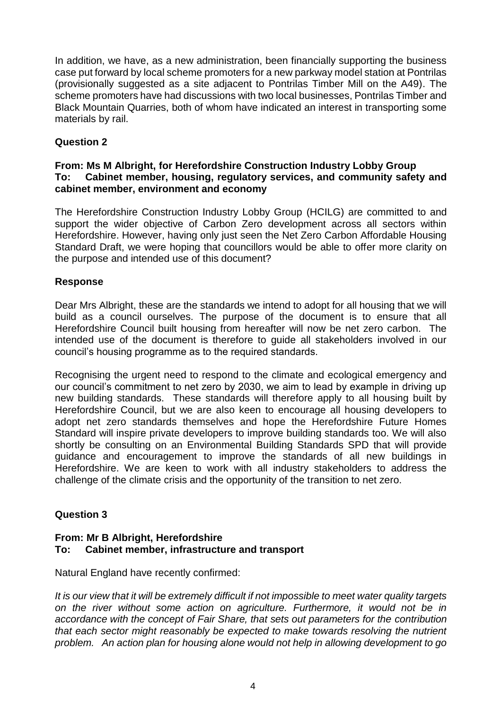In addition, we have, as a new administration, been financially supporting the business case put forward by local scheme promoters for a new parkway model station at Pontrilas (provisionally suggested as a site adjacent to Pontrilas Timber Mill on the A49). The scheme promoters have had discussions with two local businesses, Pontrilas Timber and Black Mountain Quarries, both of whom have indicated an interest in transporting some materials by rail.

# **Question 2**

## **From: Ms M Albright, for Herefordshire Construction Industry Lobby Group To: Cabinet member, housing, regulatory services, and community safety and cabinet member, environment and economy**

The Herefordshire Construction Industry Lobby Group (HCILG) are committed to and support the wider objective of Carbon Zero development across all sectors within Herefordshire. However, having only just seen the Net Zero Carbon Affordable Housing Standard Draft, we were hoping that councillors would be able to offer more clarity on the purpose and intended use of this document?

# **Response**

Dear Mrs Albright, these are the standards we intend to adopt for all housing that we will build as a council ourselves. The purpose of the document is to ensure that all Herefordshire Council built housing from hereafter will now be net zero carbon. The intended use of the document is therefore to guide all stakeholders involved in our council's housing programme as to the required standards.

Recognising the urgent need to respond to the climate and ecological emergency and our council's commitment to net zero by 2030, we aim to lead by example in driving up new building standards. These standards will therefore apply to all housing built by Herefordshire Council, but we are also keen to encourage all housing developers to adopt net zero standards themselves and hope the Herefordshire Future Homes Standard will inspire private developers to improve building standards too. We will also shortly be consulting on an Environmental Building Standards SPD that will provide guidance and encouragement to improve the standards of all new buildings in Herefordshire. We are keen to work with all industry stakeholders to address the challenge of the climate crisis and the opportunity of the transition to net zero.

# **Question 3**

## **From: Mr B Albright, Herefordshire To: Cabinet member, infrastructure and transport**

Natural England have recently confirmed:

*It is our view that it will be extremely difficult if not impossible to meet water quality targets on the river without some action on agriculture. Furthermore, it would not be in accordance with the concept of Fair Share, that sets out parameters for the contribution that each sector might reasonably be expected to make towards resolving the nutrient problem. An action plan for housing alone would not help in allowing development to go*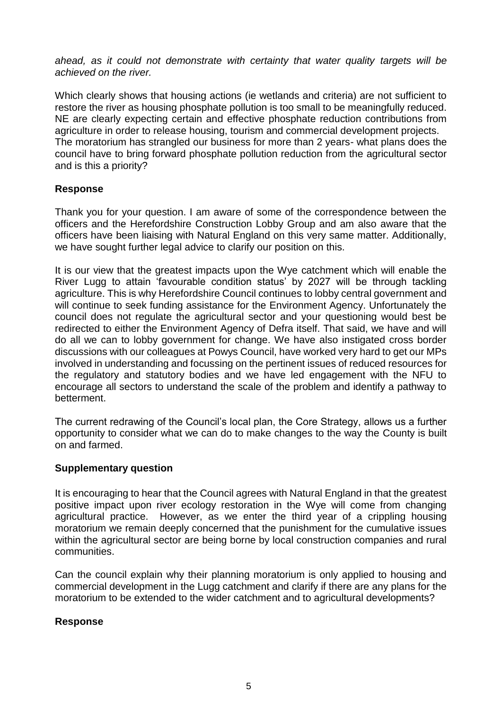*ahead, as it could not demonstrate with certainty that water quality targets will be achieved on the river.* 

Which clearly shows that housing actions (ie wetlands and criteria) are not sufficient to restore the river as housing phosphate pollution is too small to be meaningfully reduced. NE are clearly expecting certain and effective phosphate reduction contributions from agriculture in order to release housing, tourism and commercial development projects. The moratorium has strangled our business for more than 2 years- what plans does the council have to bring forward phosphate pollution reduction from the agricultural sector and is this a priority?

# **Response**

Thank you for your question. I am aware of some of the correspondence between the officers and the Herefordshire Construction Lobby Group and am also aware that the officers have been liaising with Natural England on this very same matter. Additionally, we have sought further legal advice to clarify our position on this.

It is our view that the greatest impacts upon the Wye catchment which will enable the River Lugg to attain 'favourable condition status' by 2027 will be through tackling agriculture. This is why Herefordshire Council continues to lobby central government and will continue to seek funding assistance for the Environment Agency. Unfortunately the council does not regulate the agricultural sector and your questioning would best be redirected to either the Environment Agency of Defra itself. That said, we have and will do all we can to lobby government for change. We have also instigated cross border discussions with our colleagues at Powys Council, have worked very hard to get our MPs involved in understanding and focussing on the pertinent issues of reduced resources for the regulatory and statutory bodies and we have led engagement with the NFU to encourage all sectors to understand the scale of the problem and identify a pathway to betterment.

The current redrawing of the Council's local plan, the Core Strategy, allows us a further opportunity to consider what we can do to make changes to the way the County is built on and farmed.

## **Supplementary question**

It is encouraging to hear that the Council agrees with Natural England in that the greatest positive impact upon river ecology restoration in the Wye will come from changing agricultural practice. However, as we enter the third year of a crippling housing moratorium we remain deeply concerned that the punishment for the cumulative issues within the agricultural sector are being borne by local construction companies and rural communities.

Can the council explain why their planning moratorium is only applied to housing and commercial development in the Lugg catchment and clarify if there are any plans for the moratorium to be extended to the wider catchment and to agricultural developments?

## **Response**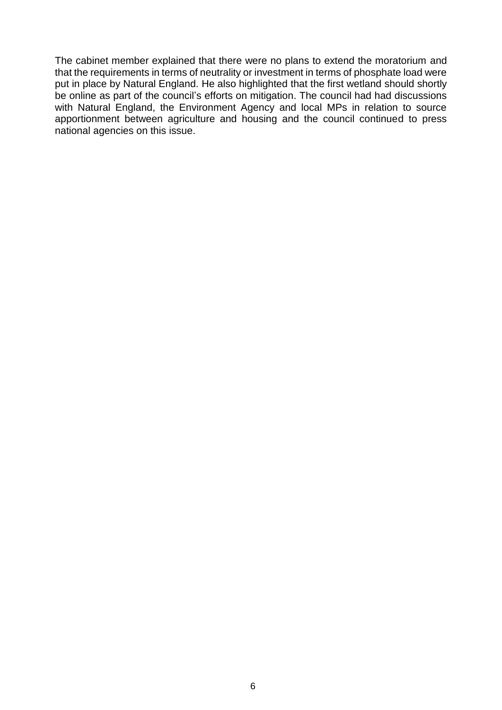The cabinet member explained that there were no plans to extend the moratorium and that the requirements in terms of neutrality or investment in terms of phosphate load were put in place by Natural England. He also highlighted that the first wetland should shortly be online as part of the council's efforts on mitigation. The council had had discussions with Natural England, the Environment Agency and local MPs in relation to source apportionment between agriculture and housing and the council continued to press national agencies on this issue.